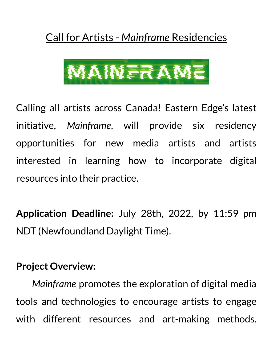# Call for Artists - *Mainframe* Residencies



Calling all artists across Canada! Eastern Edge's latest initiative, *Mainframe*, will provide six residency opportunities for new media artists and artists interested in learning how to incorporate digital resources into their practice.

**Application Deadline:** July 28th, 2022, by 11:59 pm NDT (Newfoundland Daylight Time).

### **Project Overview:**

*Mainframe* promotes the exploration of digital media tools and technologies to encourage artists to engage with different resources and art-making methods.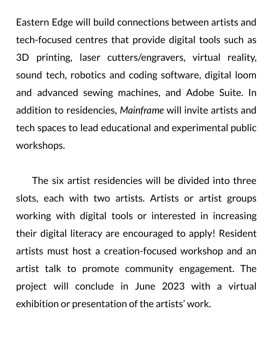Eastern Edge will build connections between artists and tech-focused centres that provide digital tools such as 3D printing, laser cutters/engravers, virtual reality, sound tech, robotics and coding software, digital loom and advanced sewing machines, and Adobe Suite. In addition to residencies, *Mainframe* will invite artists and tech spaces to lead educational and experimental public workshops.

The six artist residencies will be divided into three slots, each with two artists. Artists or artist groups working with digital tools or interested in increasing their digital literacy are encouraged to apply! Resident artists must host a creation-focused workshop and an artist talk to promote community engagement. The project will conclude in June 2023 with a virtual exhibition or presentation of the artists' work.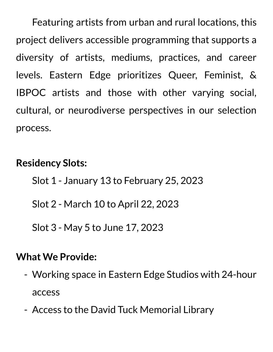Featuring artists from urban and rural locations, this project delivers accessible programming that supports a diversity of artists, mediums, practices, and career levels. Eastern Edge prioritizes Queer, Feminist, & IBPOC artists and those with other varying social, cultural, or neurodiverse perspectives in our selection process.

### **Residency Slots:**

- Slot 1 January 13 to February 25, 2023
- Slot 2 March 10 to April 22, 2023

Slot 3 - May 5 to June 17, 2023

#### **What We Provide:**

- Working space in Eastern Edge Studios with 24-hour access
- Access to the David Tuck Memorial Library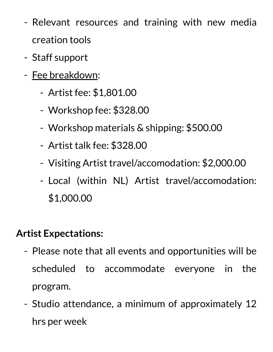- Relevant resources and training with new media creation tools
- Staff support
- Fee breakdown:
	- Artist fee: \$1,801.00
	- Workshop fee: \$328.00
	- Workshop materials & shipping: \$500.00
	- Artist talk fee: \$328.00
	- Visiting Artist travel/accomodation: \$2,000.00
	- Local (within NL) Artist travel/accomodation: \$1,000.00

## **Artist Expectations:**

- Please note that all events and opportunities will be scheduled to accommodate everyone in the program.
- Studio attendance, a minimum of approximately 12 hrs per week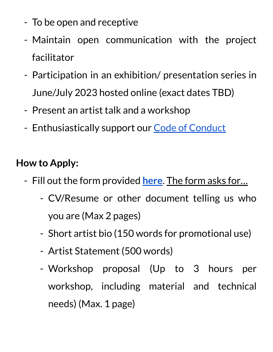- To be open and receptive
- Maintain open communication with the project facilitator
- Participation in an exhibition/ presentation series in June/July 2023 hosted online (exact dates TBD)
- Present an artist talk and a workshop
- Enthusiastically support our Code of [Conduct](https://easternedge.ca/about/eastern-edge-code-of-conduct/)

## **How to Apply:**

- Fill out the form provided **[here](https://forms.gle/7937AXUQGcidKffEA)**. The form asks for…
	- CV/Resume or other document telling us who you are (Max 2 pages)
	- Short artist bio (150 words for promotional use)
	- Artist Statement (500 words)
	- Workshop proposal (Up to 3 hours per workshop, including material and technical needs) (Max. 1 page)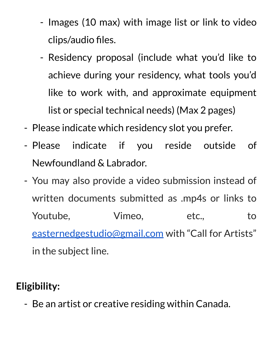- Images (10 max) with image list or link to video clips/audio files.
- Residency proposal (include what you'd like to achieve during your residency, what tools you'd like to work with, and approximate equipment list or special technical needs) (Max 2 pages)
- Please indicate which residency slot you prefer.
- Please indicate if you reside outside of Newfoundland & Labrador.
- You may also provide a video submission instead of written documents submitted as .mp4s or links to Youtube, Vimeo, etc., to [easternedgestudio@gmail.com](mailto:easternedgestudios@gmail.com) with "Call for Artists" in the subject line.

# **Eligibility:**

- Be an artist or creative residing within Canada.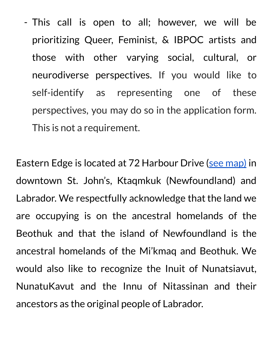- This call is open to all; however, we will be prioritizing Queer, Feminist, & IBPOC artists and those with other varying social, cultural, or neurodiverse perspectives. If you would like to self-identify as representing one of these perspectives, you may do so in the application form. This is not a requirement.

Eastern Edge is located at 72 Harbour Drive (see [map\)](https://goo.gl/maps/dekmvzZjwMdxnm7w9) in downtown St. John's, Ktaqmkuk (Newfoundland) and Labrador. We respectfully acknowledge that the land we are occupying is on the ancestral homelands of the Beothuk and that the island of Newfoundland is the ancestral homelands of the Mi'kmaq and Beothuk. We would also like to recognize the Inuit of Nunatsiavut, NunatuKavut and the Innu of Nitassinan and their ancestors as the original people of Labrador.